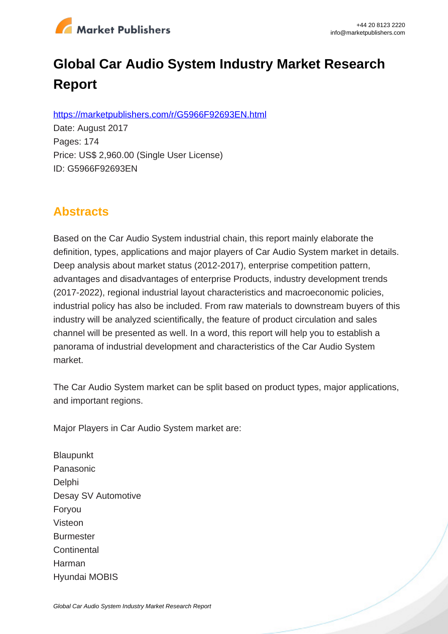

# **Global Car Audio System Industry Market Research Report**

https://marketpublishers.com/r/G5966F92693EN.html

Date: August 2017 Pages: 174 Price: US\$ 2,960.00 (Single User License) ID: G5966F92693EN

# **Abstracts**

Based on the Car Audio System industrial chain, this report mainly elaborate the definition, types, applications and major players of Car Audio System market in details. Deep analysis about market status (2012-2017), enterprise competition pattern, advantages and disadvantages of enterprise Products, industry development trends (2017-2022), regional industrial layout characteristics and macroeconomic policies, industrial policy has also be included. From raw materials to downstream buyers of this industry will be analyzed scientifically, the feature of product circulation and sales channel will be presented as well. In a word, this report will help you to establish a panorama of industrial development and characteristics of the Car Audio System market.

The Car Audio System market can be split based on product types, major applications, and important regions.

Major Players in Car Audio System market are:

**Blaupunkt** Panasonic Delphi Desay SV Automotive Foryou Visteon **Burmester Continental** Harman Hyundai MOBIS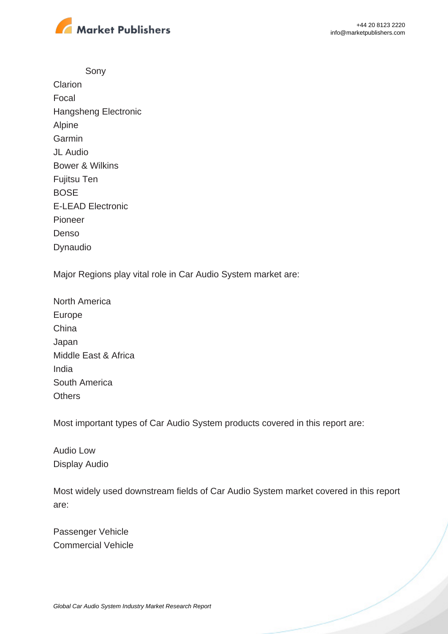

Sony **Clarion** Focal Hangsheng Electronic Alpine **Garmin** JL Audio Bower & Wilkins Fujitsu Ten BOSE E-LEAD Electronic Pioneer Denso Dynaudio

Major Regions play vital role in Car Audio System market are:

North America Europe China Japan Middle East & Africa India South America **Others** 

Most important types of Car Audio System products covered in this report are:

Audio Low Display Audio

Most widely used downstream fields of Car Audio System market covered in this report are:

Passenger Vehicle Commercial Vehicle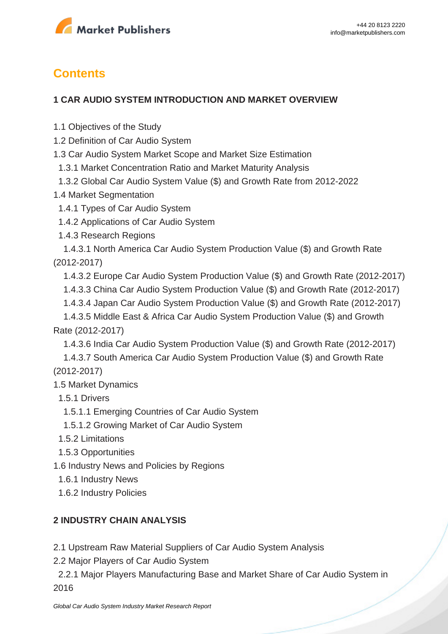

# **Contents**

#### **1 CAR AUDIO SYSTEM INTRODUCTION AND MARKET OVERVIEW**

- 1.1 Objectives of the Study
- 1.2 Definition of Car Audio System
- 1.3 Car Audio System Market Scope and Market Size Estimation
- 1.3.1 Market Concentration Ratio and Market Maturity Analysis
- 1.3.2 Global Car Audio System Value (\$) and Growth Rate from 2012-2022
- 1.4 Market Segmentation
- 1.4.1 Types of Car Audio System
- 1.4.2 Applications of Car Audio System
- 1.4.3 Research Regions

 1.4.3.1 North America Car Audio System Production Value (\$) and Growth Rate (2012-2017)

- 1.4.3.2 Europe Car Audio System Production Value (\$) and Growth Rate (2012-2017)
- 1.4.3.3 China Car Audio System Production Value (\$) and Growth Rate (2012-2017)
- 1.4.3.4 Japan Car Audio System Production Value (\$) and Growth Rate (2012-2017)

 1.4.3.5 Middle East & Africa Car Audio System Production Value (\$) and Growth Rate (2012-2017)

1.4.3.6 India Car Audio System Production Value (\$) and Growth Rate (2012-2017)

 1.4.3.7 South America Car Audio System Production Value (\$) and Growth Rate (2012-2017)

- 1.5 Market Dynamics
	- 1.5.1 Drivers
	- 1.5.1.1 Emerging Countries of Car Audio System
	- 1.5.1.2 Growing Market of Car Audio System
	- 1.5.2 Limitations
	- 1.5.3 Opportunities
- 1.6 Industry News and Policies by Regions
	- 1.6.1 Industry News
	- 1.6.2 Industry Policies

#### **2 INDUSTRY CHAIN ANALYSIS**

2.1 Upstream Raw Material Suppliers of Car Audio System Analysis

2.2 Major Players of Car Audio System

 2.2.1 Major Players Manufacturing Base and Market Share of Car Audio System in 2016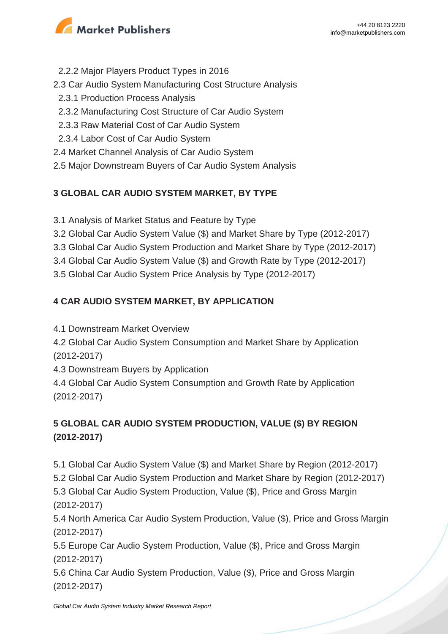

- 2.2.2 Major Players Product Types in 2016
- 2.3 Car Audio System Manufacturing Cost Structure Analysis
- 2.3.1 Production Process Analysis
- 2.3.2 Manufacturing Cost Structure of Car Audio System
- 2.3.3 Raw Material Cost of Car Audio System
- 2.3.4 Labor Cost of Car Audio System
- 2.4 Market Channel Analysis of Car Audio System
- 2.5 Major Downstream Buyers of Car Audio System Analysis

## **3 GLOBAL CAR AUDIO SYSTEM MARKET, BY TYPE**

- 3.1 Analysis of Market Status and Feature by Type
- 3.2 Global Car Audio System Value (\$) and Market Share by Type (2012-2017)
- 3.3 Global Car Audio System Production and Market Share by Type (2012-2017)
- 3.4 Global Car Audio System Value (\$) and Growth Rate by Type (2012-2017)
- 3.5 Global Car Audio System Price Analysis by Type (2012-2017)

## **4 CAR AUDIO SYSTEM MARKET, BY APPLICATION**

- 4.1 Downstream Market Overview
- 4.2 Global Car Audio System Consumption and Market Share by Application (2012-2017)
- 4.3 Downstream Buyers by Application
- 4.4 Global Car Audio System Consumption and Growth Rate by Application (2012-2017)

# **5 GLOBAL CAR AUDIO SYSTEM PRODUCTION, VALUE (\$) BY REGION (2012-2017)**

5.1 Global Car Audio System Value (\$) and Market Share by Region (2012-2017)

5.2 Global Car Audio System Production and Market Share by Region (2012-2017)

5.3 Global Car Audio System Production, Value (\$), Price and Gross Margin (2012-2017)

5.4 North America Car Audio System Production, Value (\$), Price and Gross Margin (2012-2017)

5.5 Europe Car Audio System Production, Value (\$), Price and Gross Margin (2012-2017)

5.6 China Car Audio System Production, Value (\$), Price and Gross Margin (2012-2017)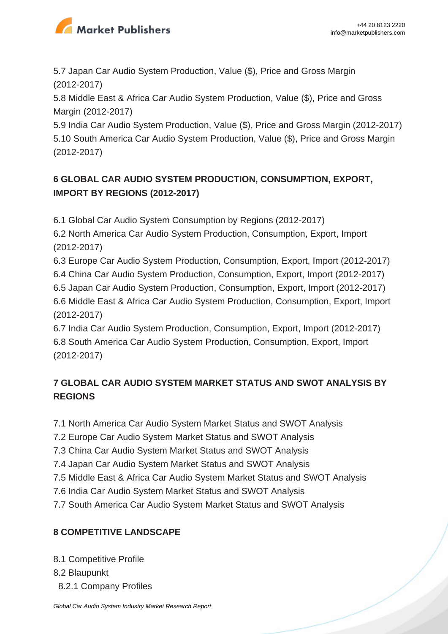

5.7 Japan Car Audio System Production, Value (\$), Price and Gross Margin (2012-2017)

5.8 Middle East & Africa Car Audio System Production, Value (\$), Price and Gross Margin (2012-2017)

5.9 India Car Audio System Production, Value (\$), Price and Gross Margin (2012-2017) 5.10 South America Car Audio System Production, Value (\$), Price and Gross Margin (2012-2017)

# **6 GLOBAL CAR AUDIO SYSTEM PRODUCTION, CONSUMPTION, EXPORT, IMPORT BY REGIONS (2012-2017)**

6.1 Global Car Audio System Consumption by Regions (2012-2017)

6.2 North America Car Audio System Production, Consumption, Export, Import (2012-2017)

6.3 Europe Car Audio System Production, Consumption, Export, Import (2012-2017) 6.4 China Car Audio System Production, Consumption, Export, Import (2012-2017) 6.5 Japan Car Audio System Production, Consumption, Export, Import (2012-2017) 6.6 Middle East & Africa Car Audio System Production, Consumption, Export, Import (2012-2017)

6.7 India Car Audio System Production, Consumption, Export, Import (2012-2017) 6.8 South America Car Audio System Production, Consumption, Export, Import (2012-2017)

# **7 GLOBAL CAR AUDIO SYSTEM MARKET STATUS AND SWOT ANALYSIS BY REGIONS**

7.1 North America Car Audio System Market Status and SWOT Analysis

7.2 Europe Car Audio System Market Status and SWOT Analysis

7.3 China Car Audio System Market Status and SWOT Analysis

7.4 Japan Car Audio System Market Status and SWOT Analysis

7.5 Middle East & Africa Car Audio System Market Status and SWOT Analysis

7.6 India Car Audio System Market Status and SWOT Analysis

7.7 South America Car Audio System Market Status and SWOT Analysis

### **8 COMPETITIVE LANDSCAPE**

8.1 Competitive Profile

8.2 Blaupunkt

8.2.1 Company Profiles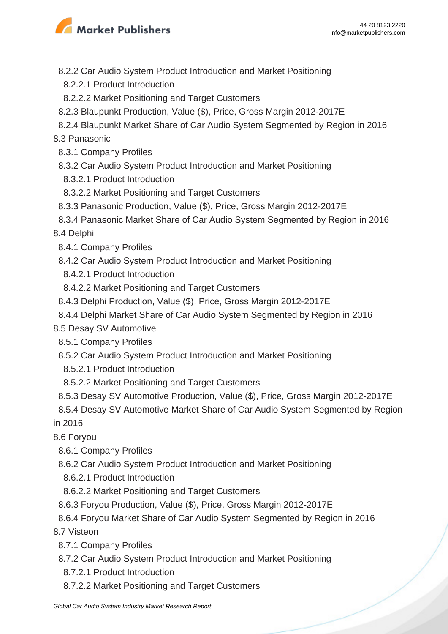

- 8.2.2 Car Audio System Product Introduction and Market Positioning
- 8.2.2.1 Product Introduction
- 8.2.2.2 Market Positioning and Target Customers
- 8.2.3 Blaupunkt Production, Value (\$), Price, Gross Margin 2012-2017E
- 8.2.4 Blaupunkt Market Share of Car Audio System Segmented by Region in 2016

8.3 Panasonic

- 8.3.1 Company Profiles
- 8.3.2 Car Audio System Product Introduction and Market Positioning
- 8.3.2.1 Product Introduction
- 8.3.2.2 Market Positioning and Target Customers
- 8.3.3 Panasonic Production, Value (\$), Price, Gross Margin 2012-2017E
- 8.3.4 Panasonic Market Share of Car Audio System Segmented by Region in 2016

8.4 Delphi

- 8.4.1 Company Profiles
- 8.4.2 Car Audio System Product Introduction and Market Positioning
- 8.4.2.1 Product Introduction
- 8.4.2.2 Market Positioning and Target Customers
- 8.4.3 Delphi Production, Value (\$), Price, Gross Margin 2012-2017E
- 8.4.4 Delphi Market Share of Car Audio System Segmented by Region in 2016
- 8.5 Desay SV Automotive
	- 8.5.1 Company Profiles
	- 8.5.2 Car Audio System Product Introduction and Market Positioning
	- 8.5.2.1 Product Introduction
	- 8.5.2.2 Market Positioning and Target Customers
	- 8.5.3 Desay SV Automotive Production, Value (\$), Price, Gross Margin 2012-2017E

 8.5.4 Desay SV Automotive Market Share of Car Audio System Segmented by Region in 2016

8.6 Foryou

- 8.6.1 Company Profiles
- 8.6.2 Car Audio System Product Introduction and Market Positioning
- 8.6.2.1 Product Introduction
- 8.6.2.2 Market Positioning and Target Customers
- 8.6.3 Foryou Production, Value (\$), Price, Gross Margin 2012-2017E
- 8.6.4 Foryou Market Share of Car Audio System Segmented by Region in 2016

8.7 Visteon

- 8.7.1 Company Profiles
- 8.7.2 Car Audio System Product Introduction and Market Positioning
- 8.7.2.1 Product Introduction
- 8.7.2.2 Market Positioning and Target Customers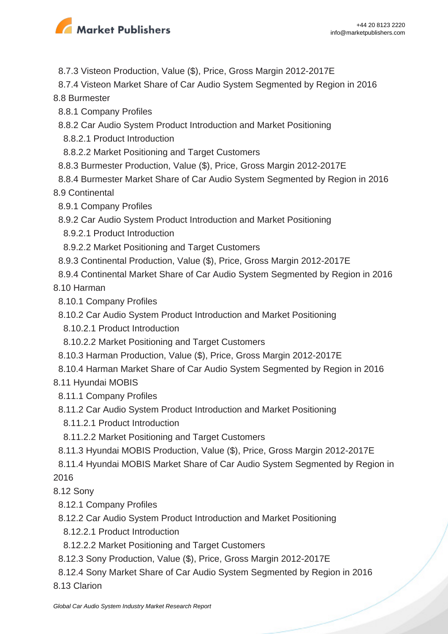

8.7.3 Visteon Production, Value (\$), Price, Gross Margin 2012-2017E

8.7.4 Visteon Market Share of Car Audio System Segmented by Region in 2016

8.8 Burmester

- 8.8.1 Company Profiles
- 8.8.2 Car Audio System Product Introduction and Market Positioning
- 8.8.2.1 Product Introduction
- 8.8.2.2 Market Positioning and Target Customers
- 8.8.3 Burmester Production, Value (\$), Price, Gross Margin 2012-2017E
- 8.8.4 Burmester Market Share of Car Audio System Segmented by Region in 2016

8.9 Continental

- 8.9.1 Company Profiles
- 8.9.2 Car Audio System Product Introduction and Market Positioning
- 8.9.2.1 Product Introduction
- 8.9.2.2 Market Positioning and Target Customers
- 8.9.3 Continental Production, Value (\$), Price, Gross Margin 2012-2017E
- 8.9.4 Continental Market Share of Car Audio System Segmented by Region in 2016

8.10 Harman

- 8.10.1 Company Profiles
- 8.10.2 Car Audio System Product Introduction and Market Positioning
- 8.10.2.1 Product Introduction
- 8.10.2.2 Market Positioning and Target Customers
- 8.10.3 Harman Production, Value (\$), Price, Gross Margin 2012-2017E
- 8.10.4 Harman Market Share of Car Audio System Segmented by Region in 2016
- 8.11 Hyundai MOBIS
	- 8.11.1 Company Profiles
	- 8.11.2 Car Audio System Product Introduction and Market Positioning
	- 8.11.2.1 Product Introduction
	- 8.11.2.2 Market Positioning and Target Customers
	- 8.11.3 Hyundai MOBIS Production, Value (\$), Price, Gross Margin 2012-2017E
- 8.11.4 Hyundai MOBIS Market Share of Car Audio System Segmented by Region in 2016

8.12 Sony

- 8.12.1 Company Profiles
- 8.12.2 Car Audio System Product Introduction and Market Positioning
- 8.12.2.1 Product Introduction
- 8.12.2.2 Market Positioning and Target Customers
- 8.12.3 Sony Production, Value (\$), Price, Gross Margin 2012-2017E
- 8.12.4 Sony Market Share of Car Audio System Segmented by Region in 2016
- 8.13 Clarion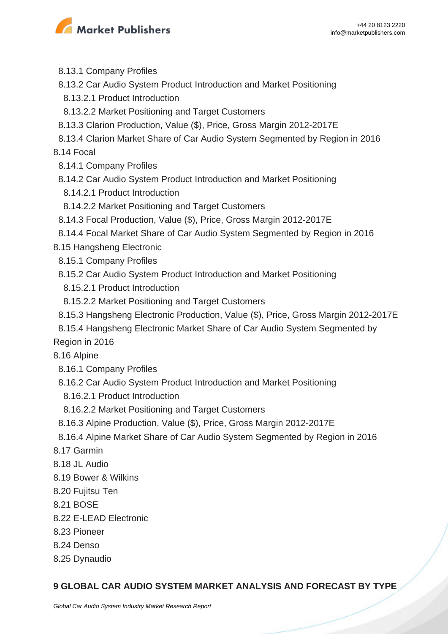

- 8.13.1 Company Profiles
- 8.13.2 Car Audio System Product Introduction and Market Positioning
- 8.13.2.1 Product Introduction
- 8.13.2.2 Market Positioning and Target Customers
- 8.13.3 Clarion Production, Value (\$), Price, Gross Margin 2012-2017E
- 8.13.4 Clarion Market Share of Car Audio System Segmented by Region in 2016

8.14 Focal

- 8.14.1 Company Profiles
- 8.14.2 Car Audio System Product Introduction and Market Positioning
- 8.14.2.1 Product Introduction
- 8.14.2.2 Market Positioning and Target Customers
- 8.14.3 Focal Production, Value (\$), Price, Gross Margin 2012-2017E
- 8.14.4 Focal Market Share of Car Audio System Segmented by Region in 2016
- 8.15 Hangsheng Electronic
- 8.15.1 Company Profiles
- 8.15.2 Car Audio System Product Introduction and Market Positioning
- 8.15.2.1 Product Introduction
- 8.15.2.2 Market Positioning and Target Customers
- 8.15.3 Hangsheng Electronic Production, Value (\$), Price, Gross Margin 2012-2017E
- 8.15.4 Hangsheng Electronic Market Share of Car Audio System Segmented by

Region in 2016

8.16 Alpine

- 8.16.1 Company Profiles
- 8.16.2 Car Audio System Product Introduction and Market Positioning
- 8.16.2.1 Product Introduction
- 8.16.2.2 Market Positioning and Target Customers
- 8.16.3 Alpine Production, Value (\$), Price, Gross Margin 2012-2017E
- 8.16.4 Alpine Market Share of Car Audio System Segmented by Region in 2016
- 8.17 Garmin
- 8.18 JL Audio
- 8.19 Bower & Wilkins
- 8.20 Fujitsu Ten
- 8.21 BOSE
- 8.22 E-LEAD Electronic
- 8.23 Pioneer
- 8.24 Denso
- 8.25 Dynaudio

#### **9 GLOBAL CAR AUDIO SYSTEM MARKET ANALYSIS AND FORECAST BY TYPE**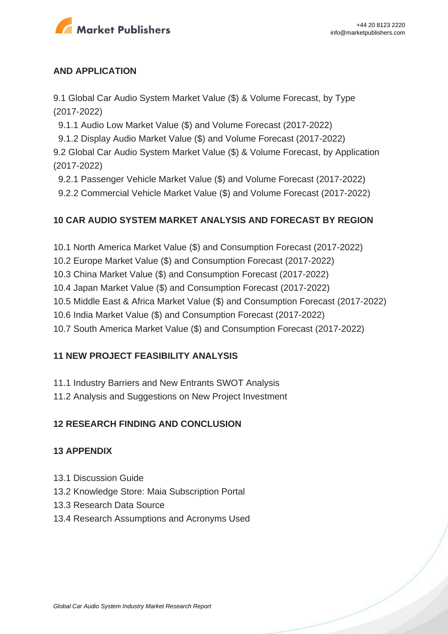

#### **AND APPLICATION**

9.1 Global Car Audio System Market Value (\$) & Volume Forecast, by Type (2017-2022)

9.1.1 Audio Low Market Value (\$) and Volume Forecast (2017-2022)

9.1.2 Display Audio Market Value (\$) and Volume Forecast (2017-2022)

9.2 Global Car Audio System Market Value (\$) & Volume Forecast, by Application (2017-2022)

9.2.1 Passenger Vehicle Market Value (\$) and Volume Forecast (2017-2022)

9.2.2 Commercial Vehicle Market Value (\$) and Volume Forecast (2017-2022)

#### **10 CAR AUDIO SYSTEM MARKET ANALYSIS AND FORECAST BY REGION**

10.1 North America Market Value (\$) and Consumption Forecast (2017-2022)

10.2 Europe Market Value (\$) and Consumption Forecast (2017-2022)

10.3 China Market Value (\$) and Consumption Forecast (2017-2022)

10.4 Japan Market Value (\$) and Consumption Forecast (2017-2022)

10.5 Middle East & Africa Market Value (\$) and Consumption Forecast (2017-2022)

10.6 India Market Value (\$) and Consumption Forecast (2017-2022)

10.7 South America Market Value (\$) and Consumption Forecast (2017-2022)

#### **11 NEW PROJECT FEASIBILITY ANALYSIS**

11.1 Industry Barriers and New Entrants SWOT Analysis

11.2 Analysis and Suggestions on New Project Investment

#### **12 RESEARCH FINDING AND CONCLUSION**

#### **13 APPENDIX**

- 13.1 Discussion Guide
- 13.2 Knowledge Store: Maia Subscription Portal
- 13.3 Research Data Source
- 13.4 Research Assumptions and Acronyms Used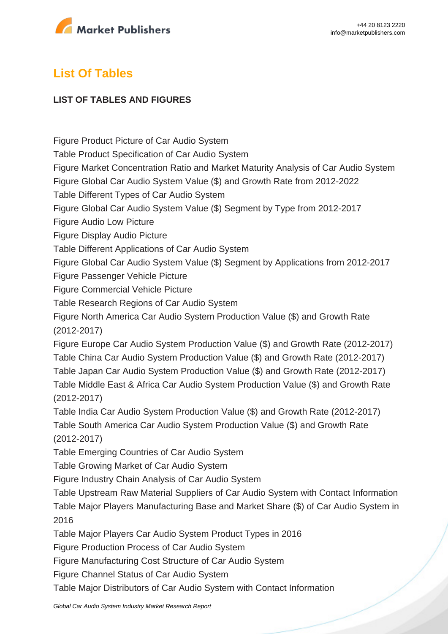

# **List Of Tables**

#### **LIST OF TABLES AND FIGURES**

Figure Product Picture of Car Audio System Table Product Specification of Car Audio System Figure Market Concentration Ratio and Market Maturity Analysis of Car Audio System Figure Global Car Audio System Value (\$) and Growth Rate from 2012-2022 Table Different Types of Car Audio System Figure Global Car Audio System Value (\$) Segment by Type from 2012-2017 Figure Audio Low Picture Figure Display Audio Picture Table Different Applications of Car Audio System Figure Global Car Audio System Value (\$) Segment by Applications from 2012-2017 Figure Passenger Vehicle Picture Figure Commercial Vehicle Picture Table Research Regions of Car Audio System Figure North America Car Audio System Production Value (\$) and Growth Rate (2012-2017) Figure Europe Car Audio System Production Value (\$) and Growth Rate (2012-2017) Table China Car Audio System Production Value (\$) and Growth Rate (2012-2017) Table Japan Car Audio System Production Value (\$) and Growth Rate (2012-2017) Table Middle East & Africa Car Audio System Production Value (\$) and Growth Rate (2012-2017) Table India Car Audio System Production Value (\$) and Growth Rate (2012-2017) Table South America Car Audio System Production Value (\$) and Growth Rate (2012-2017) Table Emerging Countries of Car Audio System Table Growing Market of Car Audio System Figure Industry Chain Analysis of Car Audio System Table Upstream Raw Material Suppliers of Car Audio System with Contact Information Table Major Players Manufacturing Base and Market Share (\$) of Car Audio System in 2016 Table Major Players Car Audio System Product Types in 2016 Figure Production Process of Car Audio System Figure Manufacturing Cost Structure of Car Audio System Figure Channel Status of Car Audio System

Table Major Distributors of Car Audio System with Contact Information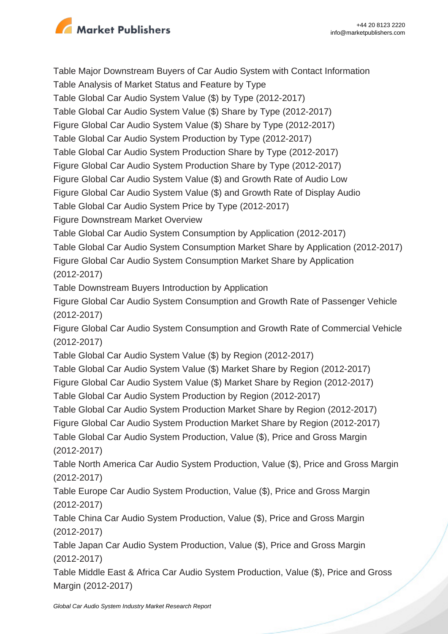

Table Major Downstream Buyers of Car Audio System with Contact Information Table Analysis of Market Status and Feature by Type Table Global Car Audio System Value (\$) by Type (2012-2017) Table Global Car Audio System Value (\$) Share by Type (2012-2017) Figure Global Car Audio System Value (\$) Share by Type (2012-2017) Table Global Car Audio System Production by Type (2012-2017) Table Global Car Audio System Production Share by Type (2012-2017) Figure Global Car Audio System Production Share by Type (2012-2017) Figure Global Car Audio System Value (\$) and Growth Rate of Audio Low Figure Global Car Audio System Value (\$) and Growth Rate of Display Audio Table Global Car Audio System Price by Type (2012-2017) Figure Downstream Market Overview Table Global Car Audio System Consumption by Application (2012-2017) Table Global Car Audio System Consumption Market Share by Application (2012-2017) Figure Global Car Audio System Consumption Market Share by Application (2012-2017) Table Downstream Buyers Introduction by Application Figure Global Car Audio System Consumption and Growth Rate of Passenger Vehicle (2012-2017) Figure Global Car Audio System Consumption and Growth Rate of Commercial Vehicle (2012-2017) Table Global Car Audio System Value (\$) by Region (2012-2017) Table Global Car Audio System Value (\$) Market Share by Region (2012-2017) Figure Global Car Audio System Value (\$) Market Share by Region (2012-2017) Table Global Car Audio System Production by Region (2012-2017) Table Global Car Audio System Production Market Share by Region (2012-2017) Figure Global Car Audio System Production Market Share by Region (2012-2017) Table Global Car Audio System Production, Value (\$), Price and Gross Margin (2012-2017) Table North America Car Audio System Production, Value (\$), Price and Gross Margin (2012-2017) Table Europe Car Audio System Production, Value (\$), Price and Gross Margin (2012-2017) Table China Car Audio System Production, Value (\$), Price and Gross Margin (2012-2017) Table Japan Car Audio System Production, Value (\$), Price and Gross Margin (2012-2017) Table Middle East & Africa Car Audio System Production, Value (\$), Price and Gross Margin (2012-2017)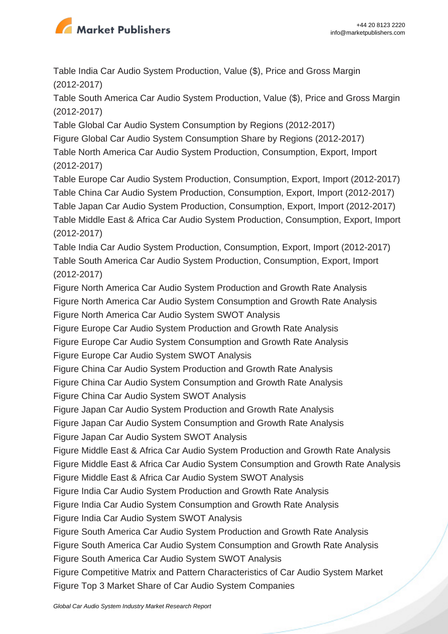

Table India Car Audio System Production, Value (\$), Price and Gross Margin (2012-2017)

Table South America Car Audio System Production, Value (\$), Price and Gross Margin (2012-2017)

Table Global Car Audio System Consumption by Regions (2012-2017)

Figure Global Car Audio System Consumption Share by Regions (2012-2017)

Table North America Car Audio System Production, Consumption, Export, Import (2012-2017)

Table Europe Car Audio System Production, Consumption, Export, Import (2012-2017) Table China Car Audio System Production, Consumption, Export, Import (2012-2017) Table Japan Car Audio System Production, Consumption, Export, Import (2012-2017) Table Middle East & Africa Car Audio System Production, Consumption, Export, Import (2012-2017)

Table India Car Audio System Production, Consumption, Export, Import (2012-2017) Table South America Car Audio System Production, Consumption, Export, Import (2012-2017)

Figure North America Car Audio System Production and Growth Rate Analysis Figure North America Car Audio System Consumption and Growth Rate Analysis Figure North America Car Audio System SWOT Analysis

Figure Europe Car Audio System Production and Growth Rate Analysis

Figure Europe Car Audio System Consumption and Growth Rate Analysis

Figure Europe Car Audio System SWOT Analysis

Figure China Car Audio System Production and Growth Rate Analysis

Figure China Car Audio System Consumption and Growth Rate Analysis

Figure China Car Audio System SWOT Analysis

Figure Japan Car Audio System Production and Growth Rate Analysis

Figure Japan Car Audio System Consumption and Growth Rate Analysis

Figure Japan Car Audio System SWOT Analysis

Figure Middle East & Africa Car Audio System Production and Growth Rate Analysis

Figure Middle East & Africa Car Audio System Consumption and Growth Rate Analysis

Figure Middle East & Africa Car Audio System SWOT Analysis

Figure India Car Audio System Production and Growth Rate Analysis

Figure India Car Audio System Consumption and Growth Rate Analysis

Figure India Car Audio System SWOT Analysis

Figure South America Car Audio System Production and Growth Rate Analysis

Figure South America Car Audio System Consumption and Growth Rate Analysis

Figure South America Car Audio System SWOT Analysis

Figure Competitive Matrix and Pattern Characteristics of Car Audio System Market Figure Top 3 Market Share of Car Audio System Companies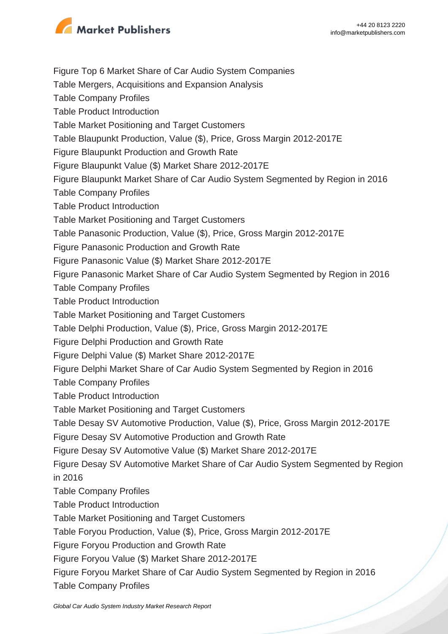

Figure Top 6 Market Share of Car Audio System Companies

Table Mergers, Acquisitions and Expansion Analysis

Table Company Profiles

Table Product Introduction

Table Market Positioning and Target Customers

Table Blaupunkt Production, Value (\$), Price, Gross Margin 2012-2017E

Figure Blaupunkt Production and Growth Rate

Figure Blaupunkt Value (\$) Market Share 2012-2017E

Figure Blaupunkt Market Share of Car Audio System Segmented by Region in 2016

Table Company Profiles

Table Product Introduction

Table Market Positioning and Target Customers

Table Panasonic Production, Value (\$), Price, Gross Margin 2012-2017E

Figure Panasonic Production and Growth Rate

Figure Panasonic Value (\$) Market Share 2012-2017E

Figure Panasonic Market Share of Car Audio System Segmented by Region in 2016

Table Company Profiles

Table Product Introduction

Table Market Positioning and Target Customers

Table Delphi Production, Value (\$), Price, Gross Margin 2012-2017E

Figure Delphi Production and Growth Rate

Figure Delphi Value (\$) Market Share 2012-2017E

Figure Delphi Market Share of Car Audio System Segmented by Region in 2016

Table Company Profiles

Table Product Introduction

Table Market Positioning and Target Customers

Table Desay SV Automotive Production, Value (\$), Price, Gross Margin 2012-2017E

Figure Desay SV Automotive Production and Growth Rate

Figure Desay SV Automotive Value (\$) Market Share 2012-2017E

Figure Desay SV Automotive Market Share of Car Audio System Segmented by Region in 2016

Table Company Profiles

Table Product Introduction

Table Market Positioning and Target Customers

Table Foryou Production, Value (\$), Price, Gross Margin 2012-2017E

Figure Foryou Production and Growth Rate

Figure Foryou Value (\$) Market Share 2012-2017E

Figure Foryou Market Share of Car Audio System Segmented by Region in 2016 Table Company Profiles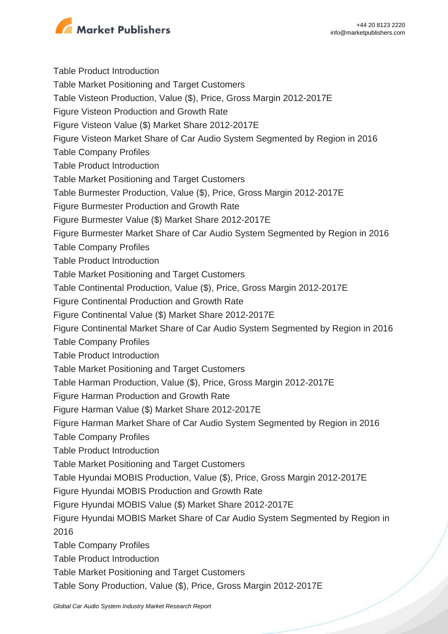

Table Product Introduction Table Market Positioning and Target Customers Table Visteon Production, Value (\$), Price, Gross Margin 2012-2017E Figure Visteon Production and Growth Rate Figure Visteon Value (\$) Market Share 2012-2017E Figure Visteon Market Share of Car Audio System Segmented by Region in 2016 Table Company Profiles Table Product Introduction Table Market Positioning and Target Customers Table Burmester Production, Value (\$), Price, Gross Margin 2012-2017E Figure Burmester Production and Growth Rate Figure Burmester Value (\$) Market Share 2012-2017E Figure Burmester Market Share of Car Audio System Segmented by Region in 2016 Table Company Profiles Table Product Introduction Table Market Positioning and Target Customers Table Continental Production, Value (\$), Price, Gross Margin 2012-2017E Figure Continental Production and Growth Rate Figure Continental Value (\$) Market Share 2012-2017E Figure Continental Market Share of Car Audio System Segmented by Region in 2016 Table Company Profiles Table Product Introduction Table Market Positioning and Target Customers Table Harman Production, Value (\$), Price, Gross Margin 2012-2017E Figure Harman Production and Growth Rate Figure Harman Value (\$) Market Share 2012-2017E Figure Harman Market Share of Car Audio System Segmented by Region in 2016 Table Company Profiles Table Product Introduction Table Market Positioning and Target Customers Table Hyundai MOBIS Production, Value (\$), Price, Gross Margin 2012-2017E Figure Hyundai MOBIS Production and Growth Rate Figure Hyundai MOBIS Value (\$) Market Share 2012-2017E Figure Hyundai MOBIS Market Share of Car Audio System Segmented by Region in 2016 Table Company Profiles Table Product Introduction Table Market Positioning and Target Customers Table Sony Production, Value (\$), Price, Gross Margin 2012-2017E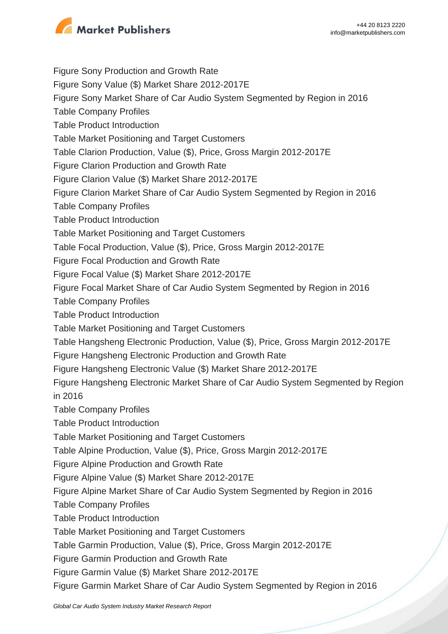

Figure Sony Production and Growth Rate

Figure Sony Value (\$) Market Share 2012-2017E

Figure Sony Market Share of Car Audio System Segmented by Region in 2016

Table Company Profiles

Table Product Introduction

Table Market Positioning and Target Customers

Table Clarion Production, Value (\$), Price, Gross Margin 2012-2017E

Figure Clarion Production and Growth Rate

Figure Clarion Value (\$) Market Share 2012-2017E

Figure Clarion Market Share of Car Audio System Segmented by Region in 2016

Table Company Profiles

Table Product Introduction

Table Market Positioning and Target Customers

Table Focal Production, Value (\$), Price, Gross Margin 2012-2017E

Figure Focal Production and Growth Rate

Figure Focal Value (\$) Market Share 2012-2017E

Figure Focal Market Share of Car Audio System Segmented by Region in 2016

Table Company Profiles

Table Product Introduction

Table Market Positioning and Target Customers

Table Hangsheng Electronic Production, Value (\$), Price, Gross Margin 2012-2017E

Figure Hangsheng Electronic Production and Growth Rate

Figure Hangsheng Electronic Value (\$) Market Share 2012-2017E

Figure Hangsheng Electronic Market Share of Car Audio System Segmented by Region in 2016

Table Company Profiles

Table Product Introduction

Table Market Positioning and Target Customers

Table Alpine Production, Value (\$), Price, Gross Margin 2012-2017E

Figure Alpine Production and Growth Rate

Figure Alpine Value (\$) Market Share 2012-2017E

Figure Alpine Market Share of Car Audio System Segmented by Region in 2016

Table Company Profiles

Table Product Introduction

Table Market Positioning and Target Customers

Table Garmin Production, Value (\$), Price, Gross Margin 2012-2017E

Figure Garmin Production and Growth Rate

Figure Garmin Value (\$) Market Share 2012-2017E

Figure Garmin Market Share of Car Audio System Segmented by Region in 2016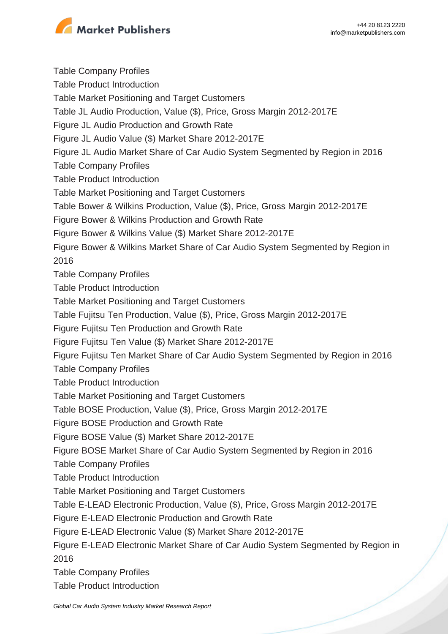

Table Company Profiles Table Product Introduction Table Market Positioning and Target Customers Table JL Audio Production, Value (\$), Price, Gross Margin 2012-2017E Figure JL Audio Production and Growth Rate Figure JL Audio Value (\$) Market Share 2012-2017E Figure JL Audio Market Share of Car Audio System Segmented by Region in 2016 Table Company Profiles Table Product Introduction Table Market Positioning and Target Customers Table Bower & Wilkins Production, Value (\$), Price, Gross Margin 2012-2017E Figure Bower & Wilkins Production and Growth Rate Figure Bower & Wilkins Value (\$) Market Share 2012-2017E Figure Bower & Wilkins Market Share of Car Audio System Segmented by Region in 2016 Table Company Profiles Table Product Introduction Table Market Positioning and Target Customers Table Fujitsu Ten Production, Value (\$), Price, Gross Margin 2012-2017E Figure Fujitsu Ten Production and Growth Rate Figure Fujitsu Ten Value (\$) Market Share 2012-2017E Figure Fujitsu Ten Market Share of Car Audio System Segmented by Region in 2016 Table Company Profiles Table Product Introduction Table Market Positioning and Target Customers Table BOSE Production, Value (\$), Price, Gross Margin 2012-2017E Figure BOSE Production and Growth Rate Figure BOSE Value (\$) Market Share 2012-2017E Figure BOSE Market Share of Car Audio System Segmented by Region in 2016 Table Company Profiles Table Product Introduction Table Market Positioning and Target Customers Table E-LEAD Electronic Production, Value (\$), Price, Gross Margin 2012-2017E Figure E-LEAD Electronic Production and Growth Rate Figure E-LEAD Electronic Value (\$) Market Share 2012-2017E Figure E-LEAD Electronic Market Share of Car Audio System Segmented by Region in 2016 Table Company Profiles

Table Product Introduction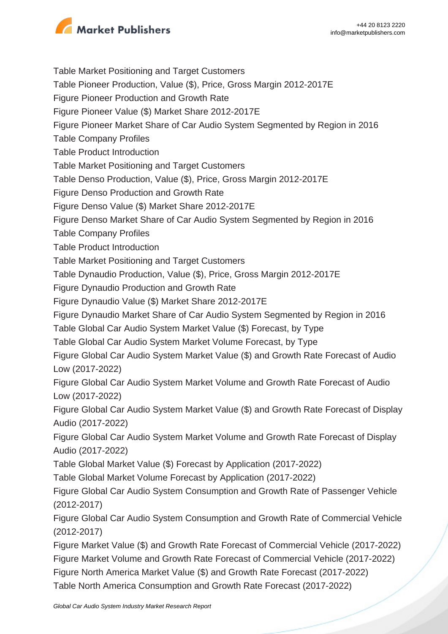

Table Market Positioning and Target Customers Table Pioneer Production, Value (\$), Price, Gross Margin 2012-2017E Figure Pioneer Production and Growth Rate Figure Pioneer Value (\$) Market Share 2012-2017E Figure Pioneer Market Share of Car Audio System Segmented by Region in 2016 Table Company Profiles Table Product Introduction Table Market Positioning and Target Customers Table Denso Production, Value (\$), Price, Gross Margin 2012-2017E Figure Denso Production and Growth Rate Figure Denso Value (\$) Market Share 2012-2017E Figure Denso Market Share of Car Audio System Segmented by Region in 2016 Table Company Profiles Table Product Introduction Table Market Positioning and Target Customers Table Dynaudio Production, Value (\$), Price, Gross Margin 2012-2017E Figure Dynaudio Production and Growth Rate Figure Dynaudio Value (\$) Market Share 2012-2017E Figure Dynaudio Market Share of Car Audio System Segmented by Region in 2016 Table Global Car Audio System Market Value (\$) Forecast, by Type Table Global Car Audio System Market Volume Forecast, by Type Figure Global Car Audio System Market Value (\$) and Growth Rate Forecast of Audio Low (2017-2022) Figure Global Car Audio System Market Volume and Growth Rate Forecast of Audio Low (2017-2022) Figure Global Car Audio System Market Value (\$) and Growth Rate Forecast of Display Audio (2017-2022) Figure Global Car Audio System Market Volume and Growth Rate Forecast of Display Audio (2017-2022) Table Global Market Value (\$) Forecast by Application (2017-2022) Table Global Market Volume Forecast by Application (2017-2022) Figure Global Car Audio System Consumption and Growth Rate of Passenger Vehicle (2012-2017) Figure Global Car Audio System Consumption and Growth Rate of Commercial Vehicle (2012-2017) Figure Market Value (\$) and Growth Rate Forecast of Commercial Vehicle (2017-2022) Figure Market Volume and Growth Rate Forecast of Commercial Vehicle (2017-2022) Figure North America Market Value (\$) and Growth Rate Forecast (2017-2022)

Table North America Consumption and Growth Rate Forecast (2017-2022)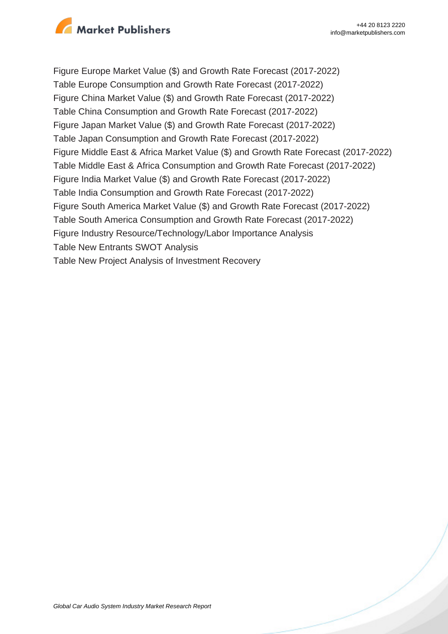

Figure Europe Market Value (\$) and Growth Rate Forecast (2017-2022) Table Europe Consumption and Growth Rate Forecast (2017-2022) Figure China Market Value (\$) and Growth Rate Forecast (2017-2022) Table China Consumption and Growth Rate Forecast (2017-2022) Figure Japan Market Value (\$) and Growth Rate Forecast (2017-2022) Table Japan Consumption and Growth Rate Forecast (2017-2022) Figure Middle East & Africa Market Value (\$) and Growth Rate Forecast (2017-2022) Table Middle East & Africa Consumption and Growth Rate Forecast (2017-2022) Figure India Market Value (\$) and Growth Rate Forecast (2017-2022) Table India Consumption and Growth Rate Forecast (2017-2022) Figure South America Market Value (\$) and Growth Rate Forecast (2017-2022) Table South America Consumption and Growth Rate Forecast (2017-2022) Figure Industry Resource/Technology/Labor Importance Analysis Table New Entrants SWOT Analysis Table New Project Analysis of Investment Recovery